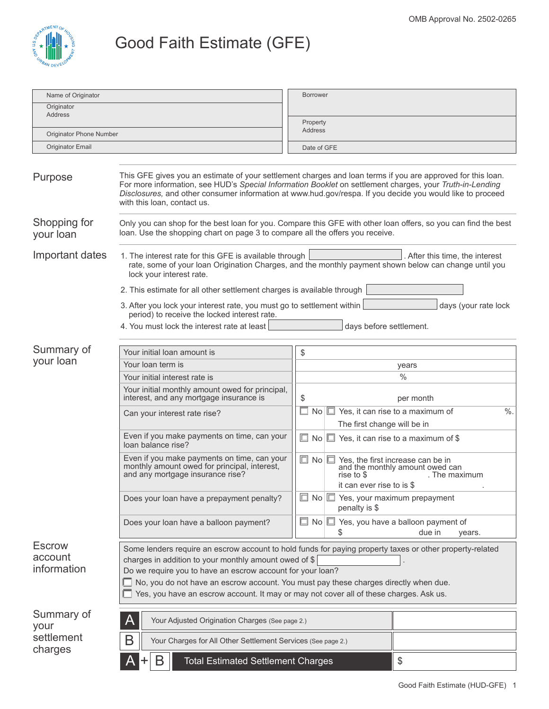

## Good Faith Estimate (GFE)

| Name of Originator                      |                                                                                                                                                                                                                          | <b>Borrower</b>                                                                                                                                                                                                                                                                                                                      |  |  |  |
|-----------------------------------------|--------------------------------------------------------------------------------------------------------------------------------------------------------------------------------------------------------------------------|--------------------------------------------------------------------------------------------------------------------------------------------------------------------------------------------------------------------------------------------------------------------------------------------------------------------------------------|--|--|--|
| Originator                              |                                                                                                                                                                                                                          |                                                                                                                                                                                                                                                                                                                                      |  |  |  |
| <b>Address</b>                          |                                                                                                                                                                                                                          | Property<br>Address                                                                                                                                                                                                                                                                                                                  |  |  |  |
| Originator Phone Number                 |                                                                                                                                                                                                                          |                                                                                                                                                                                                                                                                                                                                      |  |  |  |
| Originator Email                        |                                                                                                                                                                                                                          | Date of GFE                                                                                                                                                                                                                                                                                                                          |  |  |  |
| Purpose                                 | with this loan, contact us.                                                                                                                                                                                              | This GFE gives you an estimate of your settlement charges and loan terms if you are approved for this loan.<br>For more information, see HUD's Special Information Booklet on settlement charges, your Truth-in-Lending<br>Disclosures, and other consumer information at www.hud.gov/respa. If you decide you would like to proceed |  |  |  |
| Shopping for<br>your loan               | loan. Use the shopping chart on page 3 to compare all the offers you receive.                                                                                                                                            | Only you can shop for the best loan for you. Compare this GFE with other loan offers, so you can find the best                                                                                                                                                                                                                       |  |  |  |
| Important dates                         | 1. The interest rate for this GFE is available through<br>lock your interest rate.<br>2. This estimate for all other settlement charges is available through                                                             | . After this time, the interest<br>rate, some of your loan Origination Charges, and the monthly payment shown below can change until you                                                                                                                                                                                             |  |  |  |
|                                         | 3. After you lock your interest rate, you must go to settlement within<br>period) to receive the locked interest rate.                                                                                                   | days (your rate lock                                                                                                                                                                                                                                                                                                                 |  |  |  |
|                                         | 4. You must lock the interest rate at least                                                                                                                                                                              | days before settlement.                                                                                                                                                                                                                                                                                                              |  |  |  |
|                                         |                                                                                                                                                                                                                          |                                                                                                                                                                                                                                                                                                                                      |  |  |  |
| Summary of                              | Your initial loan amount is                                                                                                                                                                                              | \$                                                                                                                                                                                                                                                                                                                                   |  |  |  |
| your loan                               | Your loan term is                                                                                                                                                                                                        | years                                                                                                                                                                                                                                                                                                                                |  |  |  |
|                                         | Your initial interest rate is                                                                                                                                                                                            | $\frac{0}{0}$                                                                                                                                                                                                                                                                                                                        |  |  |  |
|                                         | Your initial monthly amount owed for principal,<br>interest, and any mortgage insurance is                                                                                                                               | \$<br>per month                                                                                                                                                                                                                                                                                                                      |  |  |  |
|                                         | Can your interest rate rise?                                                                                                                                                                                             | $\Box$ No $\Box$ Yes, it can rise to a maximum of<br>$\%$ .<br>The first change will be in                                                                                                                                                                                                                                           |  |  |  |
|                                         | Even if you make payments on time, can your<br>loan balance rise?                                                                                                                                                        | $\Box$ No $\Box$ Yes, it can rise to a maximum of \$                                                                                                                                                                                                                                                                                 |  |  |  |
|                                         | Even if you make payments on time, can your<br>monthly amount owed for principal, interest,<br>and any mortgage insurance rise?                                                                                          | $\Box$ No $\Box$ Yes, the first increase can be in<br>and the monthly amount owed can<br>rise to \$<br>. The maximum<br>it can ever rise to is \$                                                                                                                                                                                    |  |  |  |
|                                         | Does your loan have a prepayment penalty?                                                                                                                                                                                | $\Box$ No $\Box$ Yes, your maximum prepayment<br>penalty is \$                                                                                                                                                                                                                                                                       |  |  |  |
|                                         | Does your loan have a balloon payment?                                                                                                                                                                                   | $\Box$ No $\Box$ Yes, you have a balloon payment of<br>due in<br>years.<br>S                                                                                                                                                                                                                                                         |  |  |  |
| <b>Escrow</b><br>account<br>information | charges in addition to your monthly amount owed of $\frac{1}{2}$<br>Do we require you to have an escrow account for your loan?<br>Yes, you have an escrow account. It may or may not cover all of these charges. Ask us. | Some lenders require an escrow account to hold funds for paying property taxes or other property-related<br>No, you do not have an escrow account. You must pay these charges directly when due.                                                                                                                                     |  |  |  |
| Summary of<br>your                      | Your Adjusted Origination Charges (See page 2.)<br>Α                                                                                                                                                                     |                                                                                                                                                                                                                                                                                                                                      |  |  |  |
| settlement<br>charges                   | B<br>Your Charges for All Other Settlement Services (See page 2.)                                                                                                                                                        |                                                                                                                                                                                                                                                                                                                                      |  |  |  |
|                                         | Β<br><b>Total Estimated Settlement Charges</b>                                                                                                                                                                           | \$                                                                                                                                                                                                                                                                                                                                   |  |  |  |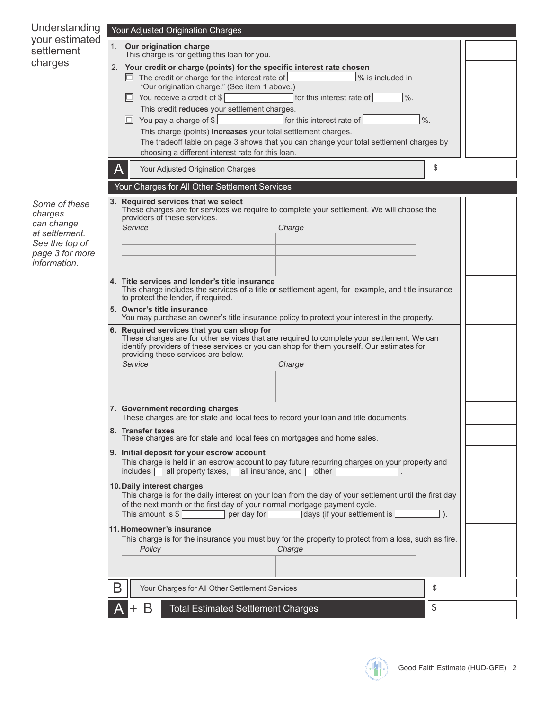| Understanding                   |   | Your Adjusted Origination Charges                                                                                                                                                                                                                                                                 |    |  |
|---------------------------------|---|---------------------------------------------------------------------------------------------------------------------------------------------------------------------------------------------------------------------------------------------------------------------------------------------------|----|--|
| your estimated<br>settlement    |   | 1. Our origination charge<br>This charge is for getting this loan for you.                                                                                                                                                                                                                        |    |  |
| charges                         |   | 2. Your credit or charge (points) for the specific interest rate chosen                                                                                                                                                                                                                           |    |  |
|                                 |   | $\Box$ The credit or charge for the interest rate of<br>% is included in<br>"Our origination charge." (See item 1 above.)                                                                                                                                                                         |    |  |
|                                 |   | $\Box$ You receive a credit of \$<br>$\frac{0}{6}$ .<br>for this interest rate of                                                                                                                                                                                                                 |    |  |
|                                 |   | This credit reduces your settlement charges.<br>You pay a charge of $\frac{1}{2}$<br>$\%$ .<br>for this interest rate of<br>IО.                                                                                                                                                                   |    |  |
|                                 |   | This charge (points) increases your total settlement charges.                                                                                                                                                                                                                                     |    |  |
|                                 |   | The tradeoff table on page 3 shows that you can change your total settlement charges by<br>choosing a different interest rate for this loan.                                                                                                                                                      |    |  |
|                                 |   | Your Adjusted Origination Charges                                                                                                                                                                                                                                                                 | \$ |  |
|                                 |   | Your Charges for All Other Settlement Services                                                                                                                                                                                                                                                    |    |  |
|                                 |   | 3. Required services that we select                                                                                                                                                                                                                                                               |    |  |
| Some of these<br>charges        |   | These charges are for services we require to complete your settlement. We will choose the<br>providers of these services.                                                                                                                                                                         |    |  |
| can change<br>at settlement.    |   | Service<br>Charge                                                                                                                                                                                                                                                                                 |    |  |
| See the top of                  |   |                                                                                                                                                                                                                                                                                                   |    |  |
| page 3 for more<br>information. |   |                                                                                                                                                                                                                                                                                                   |    |  |
|                                 |   | 4. Title services and lender's title insurance                                                                                                                                                                                                                                                    |    |  |
|                                 |   | This charge includes the services of a title or settlement agent, for example, and title insurance<br>to protect the lender, if required.                                                                                                                                                         |    |  |
|                                 |   | 5. Owner's title insurance<br>You may purchase an owner's title insurance policy to protect your interest in the property.                                                                                                                                                                        |    |  |
|                                 |   | 6. Required services that you can shop for<br>These charges are for other services that are required to complete your settlement. We can<br>identify providers of these services or you can shop for them yourself. Our estimates for<br>providing these services are below.<br>Service<br>Charge |    |  |
|                                 |   |                                                                                                                                                                                                                                                                                                   |    |  |
|                                 |   | 7. Government recording charges<br>These charges are for state and local fees to record your loan and title documents.                                                                                                                                                                            |    |  |
|                                 |   | 8. Transfer taxes<br>These charges are for state and local fees on mortgages and home sales.                                                                                                                                                                                                      |    |  |
|                                 |   | 9. Initial deposit for your escrow account<br>This charge is held in an escrow account to pay future recurring charges on your property and<br>includes $\Box$ all property taxes, $\Box$ all insurance, and $\Box$ other                                                                         |    |  |
|                                 |   | 10. Daily interest charges<br>This charge is for the daily interest on your loan from the day of your settlement until the first day<br>of the next month or the first day of your normal mortgage payment cycle.<br>This amount is \$<br>per day for<br>days (if your settlement is              |    |  |
|                                 |   | 11. Homeowner's insurance                                                                                                                                                                                                                                                                         |    |  |
|                                 |   | This charge is for the insurance you must buy for the property to protect from a loss, such as fire.<br>Charge<br>Policy                                                                                                                                                                          |    |  |
|                                 |   |                                                                                                                                                                                                                                                                                                   |    |  |
|                                 | B | Your Charges for All Other Settlement Services                                                                                                                                                                                                                                                    | \$ |  |
|                                 |   | B<br><b>Total Estimated Settlement Charges</b>                                                                                                                                                                                                                                                    | \$ |  |